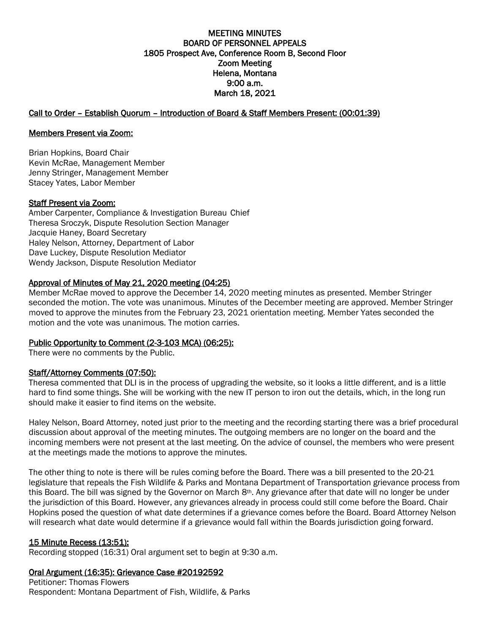# MEETING MINUTES BOARD OF PERSONNEL APPEALS 1805 Prospect Ave, Conference Room B, Second Floor Zoom Meeting Helena, Montana 9:00 a.m. March 18, 2021

# Call to Order – Establish Quorum – Introduction of Board & Staff Members Present: (00:01:39)

#### Members Present via Zoom:

Brian Hopkins, Board Chair Kevin McRae, Management Member Jenny Stringer, Management Member Stacey Yates, Labor Member

#### Staff Present via Zoom:

Amber Carpenter, Compliance & Investigation Bureau Chief Theresa Sroczyk, Dispute Resolution Section Manager Jacquie Haney, Board Secretary Haley Nelson, Attorney, Department of Labor Dave Luckey, Dispute Resolution Mediator Wendy Jackson, Dispute Resolution Mediator

# Approval of Minutes of May 21, 2020 meeting (04:25)

Member McRae moved to approve the December 14, 2020 meeting minutes as presented. Member Stringer seconded the motion. The vote was unanimous. Minutes of the December meeting are approved. Member Stringer moved to approve the minutes from the February 23, 2021 orientation meeting. Member Yates seconded the motion and the vote was unanimous. The motion carries.

# Public Opportunity to Comment (2-3-103 MCA) (06:25):

There were no comments by the Public.

# Staff/Attorney Comments (07:50):

Theresa commented that DLI is in the process of upgrading the website, so it looks a little different, and is a little hard to find some things. She will be working with the new IT person to iron out the details, which, in the long run should make it easier to find items on the website.

Haley Nelson, Board Attorney, noted just prior to the meeting and the recording starting there was a brief procedural discussion about approval of the meeting minutes. The outgoing members are no longer on the board and the incoming members were not present at the last meeting. On the advice of counsel, the members who were present at the meetings made the motions to approve the minutes.

The other thing to note is there will be rules coming before the Board. There was a bill presented to the 20-21 legislature that repeals the Fish Wildlife & Parks and Montana Department of Transportation grievance process from this Board. The bill was signed by the Governor on March 8<sup>th</sup>. Any grievance after that date will no longer be under the jurisdiction of this Board. However, any grievances already in process could still come before the Board. Chair Hopkins posed the question of what date determines if a grievance comes before the Board. Board Attorney Nelson will research what date would determine if a grievance would fall within the Boards jurisdiction going forward.

# 15 Minute Recess (13:51):

Recording stopped (16:31) Oral argument set to begin at 9:30 a.m.

# Oral Argument (16:35): Grievance Case #20192592

Petitioner: Thomas Flowers Respondent: Montana Department of Fish, Wildlife, & Parks